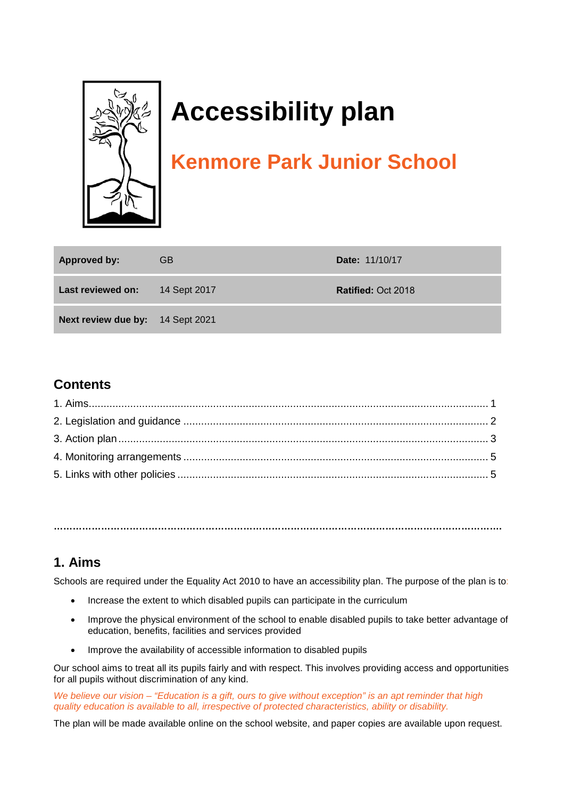

# **Accessibility plan**

## **Kenmore Park Junior School**

| <b>Approved by:</b>              | <b>GB</b>    | <b>Date: 11/10/17</b>     |
|----------------------------------|--------------|---------------------------|
| Last reviewed on:                | 14 Sept 2017 | <b>Ratified: Oct 2018</b> |
| Next review due by: 14 Sept 2021 |              |                           |

#### **Contents**

**…………………………………………………………………………………………………………………………….** 

#### **1. Aims**

Schools are required under the Equality Act 2010 to have an accessibility plan. The purpose of the plan is to:

- Increase the extent to which disabled pupils can participate in the curriculum
- Improve the physical environment of the school to enable disabled pupils to take better advantage of education, benefits, facilities and services provided
- Improve the availability of accessible information to disabled pupils

Our school aims to treat all its pupils fairly and with respect. This involves providing access and opportunities for all pupils without discrimination of any kind.

*We believe our vision – "Education is a gift, ours to give without exception" is an apt reminder that high quality education is available to all, irrespective of protected characteristics, ability or disability.*

The plan will be made available online on the school website, and paper copies are available upon request.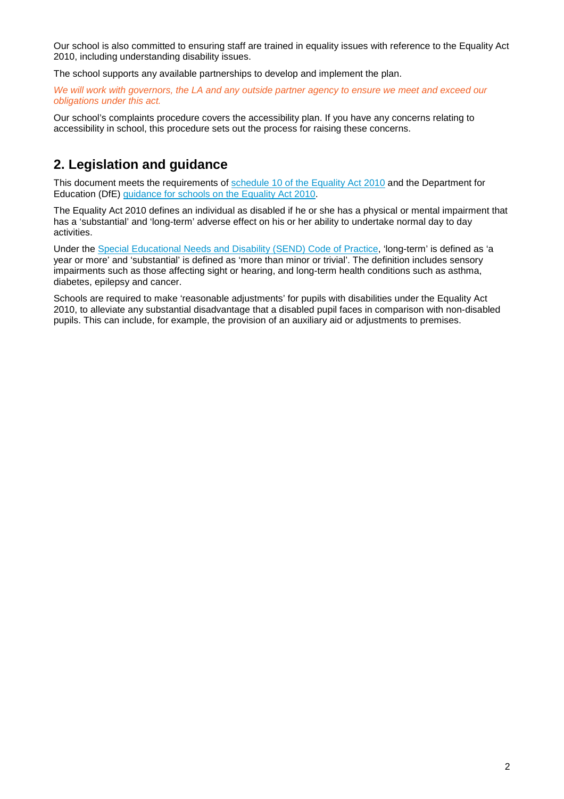Our school is also committed to ensuring staff are trained in equality issues with reference to the Equality Act 2010, including understanding disability issues.

The school supports any available partnerships to develop and implement the plan.

*We will work with governors, the LA and any outside partner agency to ensure we meet and exceed our obligations under this act.*

Our school's complaints procedure covers the accessibility plan. If you have any concerns relating to accessibility in school, this procedure sets out the process for raising these concerns.

#### **2. Legislation and guidance**

This document meets the requirements of [schedule 10 of the Equality Act 2010](http://www.legislation.gov.uk/ukpga/2010/15/schedule/10) and the Department for Education (DfE) [guidance for schools on the Equality Act 2010.](https://www.gov.uk/government/publications/equality-act-2010-advice-for-schools)

The Equality Act 2010 defines an individual as disabled if he or she has a physical or mental impairment that has a 'substantial' and 'long-term' adverse effect on his or her ability to undertake normal day to day activities.

Under the [Special Educational Needs and Disability \(SEND\) Code of Practice,](https://www.gov.uk/government/publications/send-code-of-practice-0-to-25) 'long-term' is defined as 'a year or more' and 'substantial' is defined as 'more than minor or trivial'. The definition includes sensory impairments such as those affecting sight or hearing, and long-term health conditions such as asthma, diabetes, epilepsy and cancer.

Schools are required to make 'reasonable adjustments' for pupils with disabilities under the Equality Act 2010, to alleviate any substantial disadvantage that a disabled pupil faces in comparison with non-disabled pupils. This can include, for example, the provision of an auxiliary aid or adjustments to premises.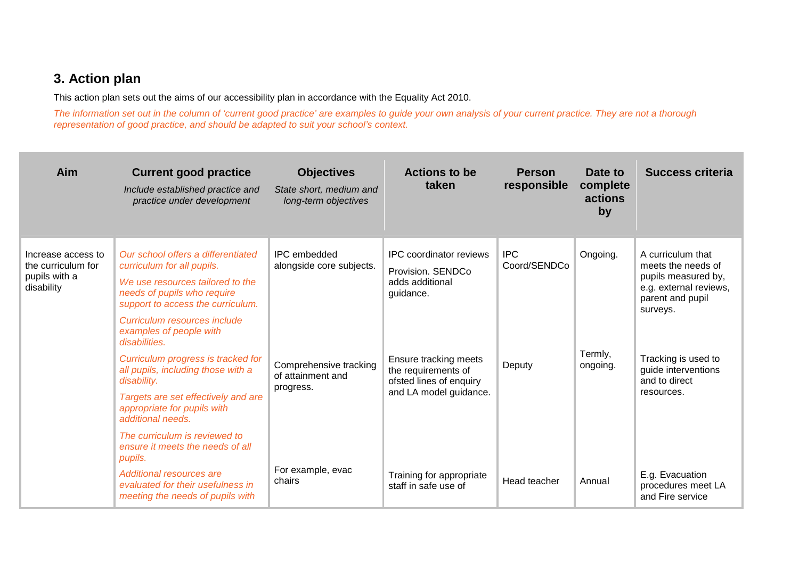### **3. Action plan**

This action plan sets out the aims of our accessibility plan in accordance with the Equality Act 2010.

*The information set out in the column of 'current good practice' are examples to guide your own analysis of your current practice. They are not a thorough representation of good practice, and should be adapted to suit your school's context.*

| Aim                                                                     | <b>Current good practice</b><br>Include established practice and<br>practice under development                                                                                                                                                                                                                                                                                                                                                                                                                  | <b>Objectives</b><br>State short, medium and<br>long-term objectives                                        | <b>Actions to be</b><br>taken                                                                                                                                                            | <b>Person</b><br>responsible         | Date to<br>complete<br>actions<br>by | <b>Success criteria</b>                                                                                                                                                                               |
|-------------------------------------------------------------------------|-----------------------------------------------------------------------------------------------------------------------------------------------------------------------------------------------------------------------------------------------------------------------------------------------------------------------------------------------------------------------------------------------------------------------------------------------------------------------------------------------------------------|-------------------------------------------------------------------------------------------------------------|------------------------------------------------------------------------------------------------------------------------------------------------------------------------------------------|--------------------------------------|--------------------------------------|-------------------------------------------------------------------------------------------------------------------------------------------------------------------------------------------------------|
| Increase access to<br>the curriculum for<br>pupils with a<br>disability | Our school offers a differentiated<br>curriculum for all pupils.<br>We use resources tailored to the<br>needs of pupils who require<br>support to access the curriculum.<br>Curriculum resources include<br>examples of people with<br>disabilities.<br>Curriculum progress is tracked for<br>all pupils, including those with a<br>disability.<br>Targets are set effectively and are<br>appropriate for pupils with<br>additional needs.<br>The curriculum is reviewed to<br>ensure it meets the needs of all | <b>IPC</b> embedded<br>alongside core subjects.<br>Comprehensive tracking<br>of attainment and<br>progress. | <b>IPC</b> coordinator reviews<br>Provision. SENDCo<br>adds additional<br>guidance.<br>Ensure tracking meets<br>the requirements of<br>ofsted lines of enquiry<br>and LA model guidance. | <b>IPC</b><br>Coord/SENDCo<br>Deputy | Ongoing.<br>Termly,<br>ongoing.      | A curriculum that<br>meets the needs of<br>pupils measured by,<br>e.g. external reviews,<br>parent and pupil<br>surveys.<br>Tracking is used to<br>guide interventions<br>and to direct<br>resources. |
|                                                                         | pupils.<br>Additional resources are<br>evaluated for their usefulness in<br>meeting the needs of pupils with                                                                                                                                                                                                                                                                                                                                                                                                    | For example, evac<br>chairs                                                                                 | Training for appropriate<br>staff in safe use of                                                                                                                                         | Head teacher                         | Annual                               | E.g. Evacuation<br>procedures meet LA<br>and Fire service                                                                                                                                             |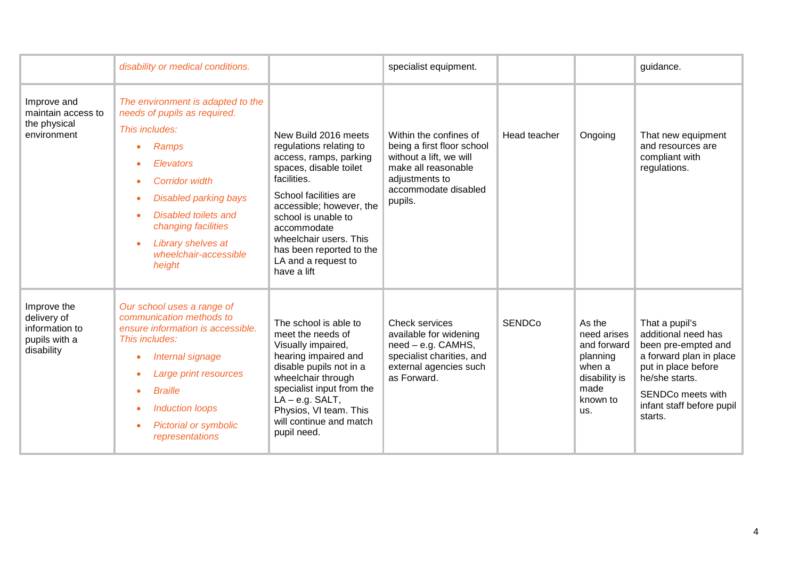|                                                                             | disability or medical conditions.                                                                                                                                                                                                                                                                     |                                                                                                                                                                                                                                                                                                           | specialist equipment.                                                                                                                                       |               |                                                                                                        | guidance.                                                                                                                                                                                     |
|-----------------------------------------------------------------------------|-------------------------------------------------------------------------------------------------------------------------------------------------------------------------------------------------------------------------------------------------------------------------------------------------------|-----------------------------------------------------------------------------------------------------------------------------------------------------------------------------------------------------------------------------------------------------------------------------------------------------------|-------------------------------------------------------------------------------------------------------------------------------------------------------------|---------------|--------------------------------------------------------------------------------------------------------|-----------------------------------------------------------------------------------------------------------------------------------------------------------------------------------------------|
| Improve and<br>maintain access to<br>the physical<br>environment            | The environment is adapted to the<br>needs of pupils as required.<br>This includes:<br>Ramps<br><b>Elevators</b><br><b>Corridor width</b><br><b>Disabled parking bays</b><br><b>Disabled toilets and</b><br>changing facilities<br>Library shelves at<br>$\bullet$<br>wheelchair-accessible<br>height | New Build 2016 meets<br>regulations relating to<br>access, ramps, parking<br>spaces, disable toilet<br>facilities.<br>School facilities are<br>accessible; however, the<br>school is unable to<br>accommodate<br>wheelchair users. This<br>has been reported to the<br>LA and a request to<br>have a lift | Within the confines of<br>being a first floor school<br>without a lift, we will<br>make all reasonable<br>adjustments to<br>accommodate disabled<br>pupils. | Head teacher  | Ongoing                                                                                                | That new equipment<br>and resources are<br>compliant with<br>regulations.                                                                                                                     |
| Improve the<br>delivery of<br>information to<br>pupils with a<br>disability | Our school uses a range of<br>communication methods to<br>ensure information is accessible.<br>This includes:<br>Internal signage<br>۰<br>Large print resources<br><b>Braille</b><br><b>Induction loops</b><br><b>Pictorial or symbolic</b><br>$\bullet$<br>representations                           | The school is able to<br>meet the needs of<br>Visually impaired,<br>hearing impaired and<br>disable pupils not in a<br>wheelchair through<br>specialist input from the<br>$LA - e.g. SALT,$<br>Physios, VI team. This<br>will continue and match<br>pupil need.                                           | <b>Check services</b><br>available for widening<br>$need - e.g.$ CAMHS,<br>specialist charities, and<br>external agencies such<br>as Forward.               | <b>SENDCo</b> | As the<br>need arises<br>and forward<br>planning<br>when a<br>disability is<br>made<br>known to<br>us. | That a pupil's<br>additional need has<br>been pre-empted and<br>a forward plan in place<br>put in place before<br>he/she starts.<br>SENDCo meets with<br>infant staff before pupil<br>starts. |